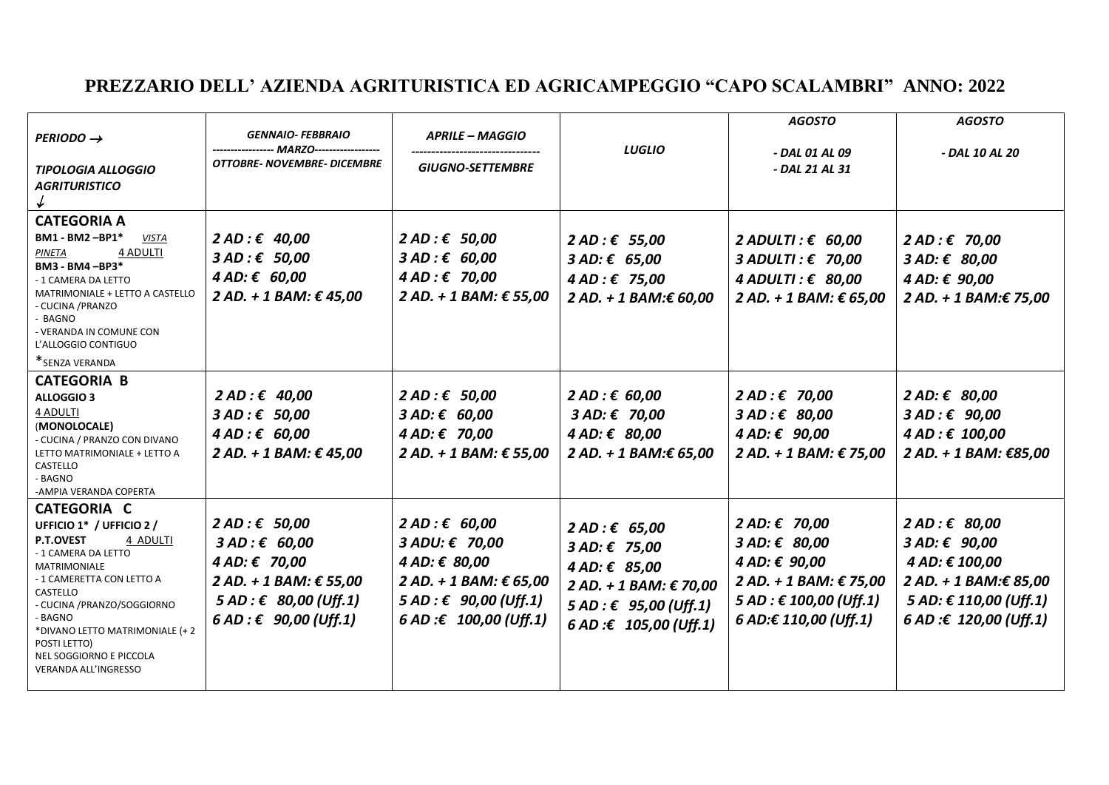## **PREZZARIO DELL' AZIENDA AGRITURISTICA ED AGRICAMPEGGIO "CAPO SCALAMBRI" ANNO: 2022**

| $PERIOD \rightarrow$                                                                                                                                                                                                                                                                                                       | <b>GENNAIO- FEBBRAIO</b><br>---------------- MARZO------------------                                                                          | <b>APRILE – MAGGIO</b>                                                                                                                          | <b>LUGLIO</b>                                                                                                                 | <b>AGOSTO</b><br>- DAL 01 AL 09                                                                                                 | <b>AGOSTO</b><br>- DAL 10 AL 20                                                                                              |
|----------------------------------------------------------------------------------------------------------------------------------------------------------------------------------------------------------------------------------------------------------------------------------------------------------------------------|-----------------------------------------------------------------------------------------------------------------------------------------------|-------------------------------------------------------------------------------------------------------------------------------------------------|-------------------------------------------------------------------------------------------------------------------------------|---------------------------------------------------------------------------------------------------------------------------------|------------------------------------------------------------------------------------------------------------------------------|
| TIPOLOGIA ALLOGGIO<br><b>AGRITURISTICO</b>                                                                                                                                                                                                                                                                                 | OTTOBRE-NOVEMBRE-DICEMBRE                                                                                                                     | <b>GIUGNO-SETTEMBRE</b>                                                                                                                         |                                                                                                                               | - DAL 21 AL 31                                                                                                                  |                                                                                                                              |
| <b>CATEGORIA A</b><br>$BM1 - BM2 - BP1*$<br><b>VISTA</b><br>4 ADULTI<br>PINETA<br>BM3 - BM4 - BP3*<br>- 1 CAMERA DA LETTO<br>MATRIMONIALE + LETTO A CASTELLO<br>- CUCINA /PRANZO<br>- BAGNO<br>- VERANDA IN COMUNE CON<br>L'ALLOGGIO CONTIGUO<br>*SENZA VERANDA                                                            | 2 AD:€ 40,00<br>$3 AD: \epsilon$ 50,00<br>4 AD: € 60,00<br>2 AD. + 1 BAM: € 45,00                                                             | $2 AD: \epsilon$ 50,00<br>$3 AD: \epsilon 60,00$<br>4 AD:€70,00<br>2 AD. + 1 BAM: € 55,00                                                       | 2 AD:€ 55,00<br>$3 AD: \epsilon 65,00$<br>4 AD:€75,00<br>2 AD. + 1 BAM:€ 60,00                                                | 2 ADULTI: $\epsilon$ 60,00<br>$3$ ADULTI: $\epsilon$ 70,00<br>4 ADULTI: $\epsilon$ 80,00<br>2 AD. + 1 BAM: € 65,00              | 2 AD:€70,00<br>3 AD: € 80,00<br>4 AD: € 90,00<br>2 AD. + 1 BAM:€ 75,00                                                       |
| <b>CATEGORIA B</b><br><b>ALLOGGIO 3</b><br>4 ADULTI<br>(MONOLOCALE)<br>- CUCINA / PRANZO CON DIVANO<br>LETTO MATRIMONIALE + LETTO A<br>CASTELLO<br>- BAGNO<br>-AMPIA VERANDA COPERTA                                                                                                                                       | 2 AD:€ 40,00<br>$3 AD: \epsilon$ 50,00<br>$4 AD: \epsilon$ 60,00<br>2 AD. + 1 BAM: € 45,00                                                    | 2 AD:€ 50,00<br>3 AD: € 60,00<br>4 AD: € 70,00<br>2 AD. + 1 BAM: € 55,00                                                                        | 2 AD : € 60,00<br>3 AD: €70,00<br>4 AD: € 80,00<br>2 AD. + 1 BAM:€ 65,00                                                      | 2 AD:€70,00<br>$3 AD: \epsilon$ 80,00<br>4 AD: € 90,00<br>2 AD. + 1 BAM: € 75,00                                                | 2 AD: € 80,00<br>$3 AD: \epsilon$ 90,00<br>4 AD : € 100,00<br>2 AD. + 1 BAM: €85,00                                          |
| <b>CATEGORIA C</b><br>UFFICIO 1* / UFFICIO 2 /<br><b>P.T.OVEST</b><br>4 ADULTI<br>- 1 CAMERA DA LETTO<br><b>MATRIMONIALE</b><br>- 1 CAMERETTA CON LETTO A<br>CASTELLO<br>- CUCINA /PRANZO/SOGGIORNO<br>- BAGNO<br>*DIVANO LETTO MATRIMONIALE (+2<br>POSTI LETTO)<br>NEL SOGGIORNO E PICCOLA<br><b>VERANDA ALL'INGRESSO</b> | 2 AD:€ 50,00<br>$3 AD: \epsilon$ 60,00<br>4 AD: € 70,00<br>2 AD. + 1 BAM: € 55,00<br>5 AD: € 80,00 (Uff.1)<br>$6 AD : \epsilon$ 90,00 (Uff.1) | 2 AD:€ 60,00<br>$3 \text{ ADU: } \epsilon$ 70,00<br>4 AD: € 80,00<br>2 AD. + 1 BAM: € 65,00<br>5 AD: € 90,00 (Uff.1)<br>6 AD : £ 100,00 (Uff.1) | 2 AD:€ 65,00<br>3 AD: € 75,00<br>4 AD: € 85,00<br>2 AD. + 1 BAM: € 70,00<br>5 AD : € 95,00 (Uff.1)<br>6 AD : € 105,00 (Uff.1) | 2 AD: € 70,00<br>3 AD: € 80,00<br>4 AD: € 90,00<br>2 AD. + 1 BAM: € 75,00<br>5 AD : £ 100,00 (Uff.1)<br>$6$ AD:€ 110,00 (Uff.1) | 2 AD:€ 80,00<br>3 AD: € 90,00<br>4 AD: € 100,00<br>2 AD. + 1 BAM:€ 85,00<br>5 AD: € 110,00 (Uff.1)<br>6 AD :€ 120,00 (Uff.1) |